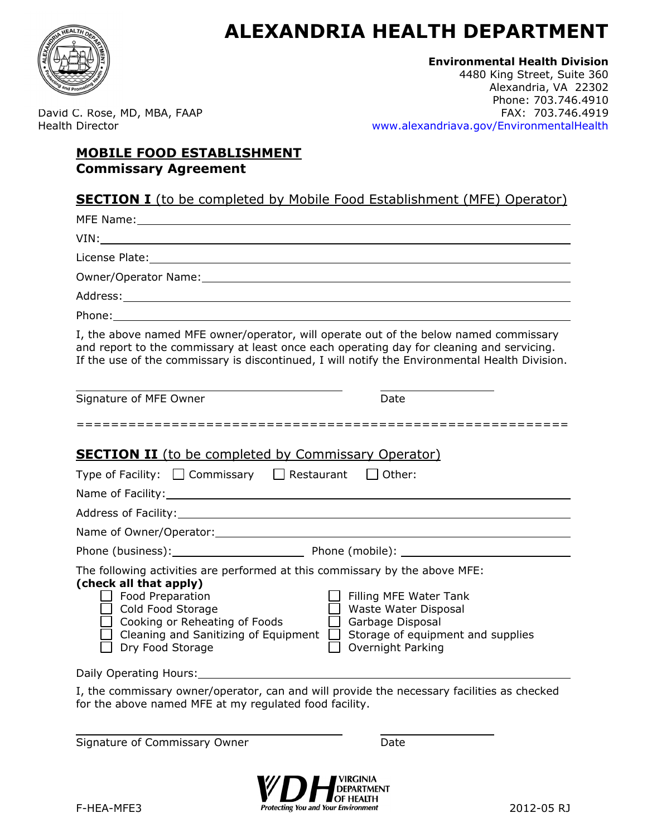

# **ALEXANDRIA HEALTH DEPARTMENT**

**Environmental Health Division** 

4480 King Street, Suite 360 Alexandria, VA 22302 Phone: 703.746.4910 David C. Rose, MD, MBA, FAAP FAX: 703.746.4919 Health Director www.alexandriava.gov/EnvironmentalHealth

## **MOBILE FOOD ESTABLISHMENT Commissary Agreement**

# **SECTION I** (to be completed by Mobile Food Establishment (MFE) Operator)

| I, the above named MFE owner/operator, will operate out of the below named commissary<br>and report to the commissary at least once each operating day for cleaning and servicing.<br>If the use of the commissary is discontinued, I will notify the Environmental Health Division.                                                                                                          |  |  |  |
|-----------------------------------------------------------------------------------------------------------------------------------------------------------------------------------------------------------------------------------------------------------------------------------------------------------------------------------------------------------------------------------------------|--|--|--|
| Signature of MFE Owner<br>Date                                                                                                                                                                                                                                                                                                                                                                |  |  |  |
|                                                                                                                                                                                                                                                                                                                                                                                               |  |  |  |
| <b>SECTION II</b> (to be completed by Commissary Operator)                                                                                                                                                                                                                                                                                                                                    |  |  |  |
| Type of Facility: $\Box$ Commissary $\Box$ Restaurant $\Box$ Other:                                                                                                                                                                                                                                                                                                                           |  |  |  |
|                                                                                                                                                                                                                                                                                                                                                                                               |  |  |  |
|                                                                                                                                                                                                                                                                                                                                                                                               |  |  |  |
|                                                                                                                                                                                                                                                                                                                                                                                               |  |  |  |
| Phone (business): Phone (mobile): 2000 Phone (mobile): 2000 Phone (mobile): 2000 Phone (mobile): 2000 Phone (mobile)                                                                                                                                                                                                                                                                          |  |  |  |
| The following activities are performed at this commissary by the above MFE:<br>(check all that apply)<br><b>Food Preparation</b><br>Filling MFE Water Tank<br>Cold Food Storage<br>Waste Water Disposal<br>Cooking or Reheating of Foods<br>$\Box$ Garbage Disposal<br>Cleaning and Sanitizing of Equipment $\Box$ Storage of equipment and supplies<br>Dry Food Storage<br>Overnight Parking |  |  |  |
| Daily Operating Hours: Daily Operating Hours:                                                                                                                                                                                                                                                                                                                                                 |  |  |  |
| I, the commissary owner/operator, can and will provide the necessary facilities as checked<br>for the above named MFE at my regulated food facility.                                                                                                                                                                                                                                          |  |  |  |

Signature of Commissary Owner **Date** Date



l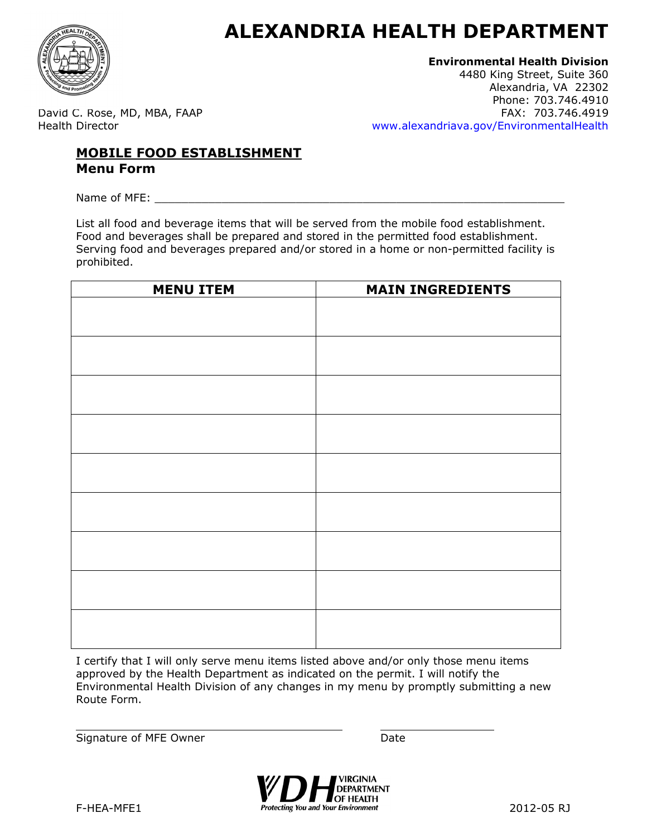



#### **Environmental Health Division**

4480 King Street, Suite 360 Alexandria, VA 22302 Phone: 703.746.4910 David C. Rose, MD, MBA, FAAP FAX: 703.746.4919 Health Director www.alexandriava.gov/EnvironmentalHealth

## **MOBILE FOOD ESTABLISHMENT Menu Form**

Name of MFE:

List all food and beverage items that will be served from the mobile food establishment. Food and beverages shall be prepared and stored in the permitted food establishment. Serving food and beverages prepared and/or stored in a home or non-permitted facility is prohibited.

| <b>MENU ITEM</b> | <b>MAIN INGREDIENTS</b> |  |
|------------------|-------------------------|--|
|                  |                         |  |
|                  |                         |  |
|                  |                         |  |
|                  |                         |  |
|                  |                         |  |
|                  |                         |  |
|                  |                         |  |
|                  |                         |  |
|                  |                         |  |
|                  |                         |  |
|                  |                         |  |
|                  |                         |  |
|                  |                         |  |
|                  |                         |  |
|                  |                         |  |
|                  |                         |  |
|                  |                         |  |
|                  |                         |  |
|                  |                         |  |
|                  |                         |  |
|                  |                         |  |
|                  |                         |  |

I certify that I will only serve menu items listed above and/or only those menu items approved by the Health Department as indicated on the permit. I will notify the Environmental Health Division of any changes in my menu by promptly submitting a new Route Form.

Signature of MFE Owner **Date** Date